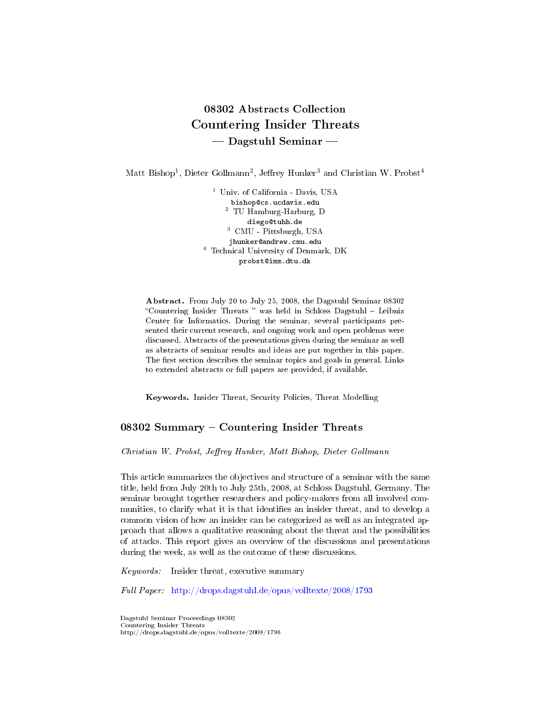# 08302 Abstracts Collection Countering Insider Threats Dagstuhl Seminar

Matt Bishop<sup>1</sup>, Dieter Gollmann<sup>2</sup>, Jeffrey Hunker<sup>3</sup> and Christian W. Probst<sup>4</sup>

<sup>1</sup> Univ. of California - Davis, USA bishop@cs.ucdavis.edu <sup>2</sup> TU Hamburg-Harburg, D diego@tuhh.de <sup>3</sup> CMU - Pittsburgh, USA jhunker@andrew.cmu.edu <sup>4</sup> Technical University of Denmark, DK probst@imm.dtu.dk

Abstract. From July 20 to July 25, 2008, the Dagstuhl Seminar 08302 "Countering Insider Threats " was held in Schloss Dagstuhl - Leibniz Center for Informatics. During the seminar, several participants presented their current research, and ongoing work and open problems were discussed. Abstracts of the presentations given during the seminar as well as abstracts of seminar results and ideas are put together in this paper. The first section describes the seminar topics and goals in general. Links to extended abstracts or full papers are provided, if available.

Keywords. Insider Threat, Security Policies, Threat Modelling

# 08302 Summary - Countering Insider Threats

Christian W. Probst, Jeffrey Hunker, Matt Bishop, Dieter Gollmann

This article summarizes the objectives and structure of a seminar with the same title, held from July 20th to July 25th, 2008, at Schloss Dagstuhl, Germany. The seminar brought together researchers and policy-makers from all involved communities, to clarify what it is that identifies an insider threat, and to develop a common vision of how an insider can be categorized as well as an integrated approach that allows a qualitative reasoning about the threat and the possibilities of attacks. This report gives an overview of the discussions and presentations during the week, as well as the outcome of these discussions.

Keywords: Insider threat, executive summary

Full Paper: <http://drops.dagstuhl.de/opus/volltexte/2008/1793>

Dagstuhl Seminar Proceedings 08302 Countering Insider Threats http://drops.dagstuhl.de/opus/volltexte/2008/1796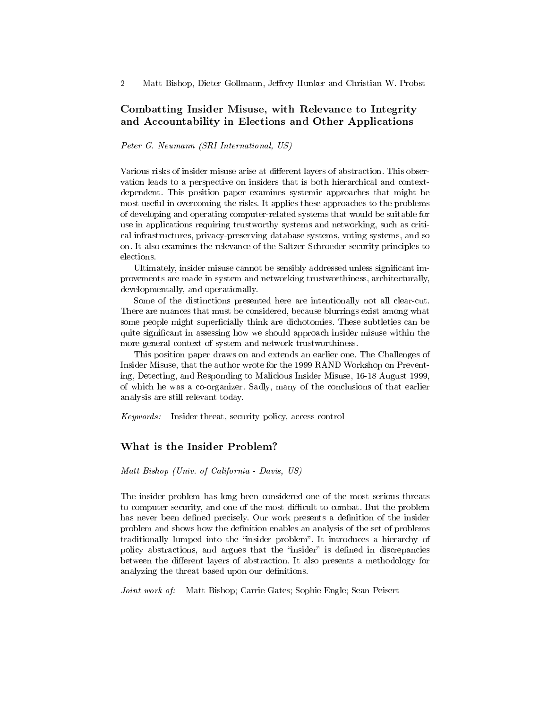# Combatting Insider Misuse, with Relevance to Integrity and Accountability in Elections and Other Applications

Peter G. Neumann (SRI International, US)

Various risks of insider misuse arise at different layers of abstraction. This observation leads to a perspective on insiders that is both hierarchical and contextdependent. This position paper examines systemic approaches that might be most useful in overcoming the risks. It applies these approaches to the problems of developing and operating computer-related systems that would be suitable for use in applications requiring trustworthy systems and networking, such as critical infrastructures, privacy-preserving database systems, voting systems, and so on. It also examines the relevance of the Saltzer-Schroeder security principles to elections.

Ultimately, insider misuse cannot be sensibly addressed unless signicant improvements are made in system and networking trustworthiness, architecturally, developmentally, and operationally.

Some of the distinctions presented here are intentionally not all clear-cut. There are nuances that must be considered, because blurrings exist among what some people might superficially think are dichotomies. These subtleties can be quite signicant in assessing how we should approach insider misuse within the more general context of system and network trustworthiness.

This position paper draws on and extends an earlier one, The Challenges of Insider Misuse, that the author wrote for the 1999 RAND Workshop on Preventing, Detecting, and Responding to Malicious Insider Misuse, 16-18 August 1999, of which he was a co-organizer. Sadly, many of the conclusions of that earlier analysis are still relevant today.

Keywords: Insider threat, security policy, access control

## What is the Insider Problem?

#### Matt Bishop (Univ. of California - Davis, US)

The insider problem has long been considered one of the most serious threats to computer security, and one of the most difficult to combat. But the problem has never been defined precisely. Our work presents a definition of the insider problem and shows how the denition enables an analysis of the set of problems traditionally lumped into the "insider problem". It introduces a hierarchy of policy abstractions, and argues that the "insider" is defined in discrepancies between the different layers of abstraction. It also presents a methodology for analyzing the threat based upon our definitions.

Joint work of: Matt Bishop; Carrie Gates; Sophie Engle; Sean Peisert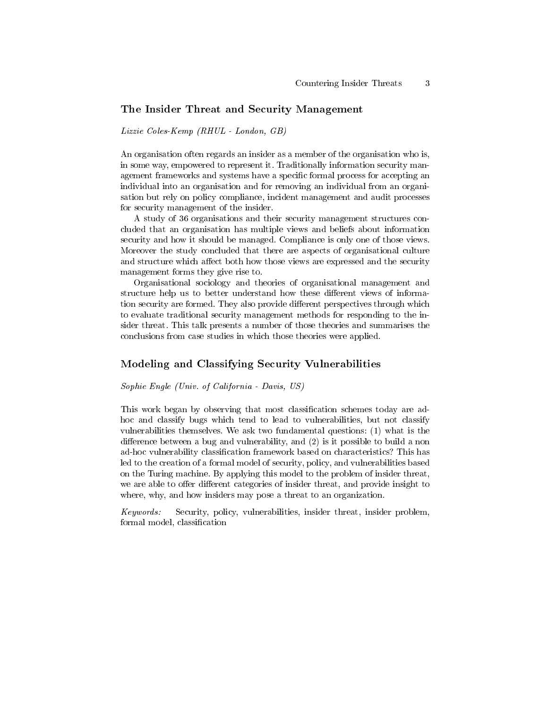### The Insider Threat and Security Management

#### Lizzie Coles-Kemp (RHUL - London, GB)

An organisation often regards an insider as a member of the organisation who is, in some way, empowered to represent it. Traditionally information security management frameworks and systems have a specific formal process for accepting an individual into an organisation and for removing an individual from an organisation but rely on policy compliance, incident management and audit processes for security management of the insider.

A study of 36 organisations and their security management structures concluded that an organisation has multiple views and beliefs about information security and how it should be managed. Compliance is only one of those views. Moreover the study concluded that there are aspects of organisational culture and structure which affect both how those views are expressed and the security management forms they give rise to.

Organisational sociology and theories of organisational management and structure help us to better understand how these different views of information security are formed. They also provide different perspectives through which to evaluate traditional security management methods for responding to the insider threat. This talk presents a number of those theories and summarises the conclusions from case studies in which those theories were applied.

## Modeling and Classifying Security Vulnerabilities

#### Sophie Engle (Univ. of California - Davis, US)

This work began by observing that most classification schemes today are adhoc and classify bugs which tend to lead to vulnerabilities, but not classify vulnerabilities themselves. We ask two fundamental questions: (1) what is the difference between a bug and vulnerability, and  $(2)$  is it possible to build a non ad-hoc vulnerability classification framework based on characteristics? This has led to the creation of a formal model of security, policy, and vulnerabilities based on the Turing machine. By applying this model to the problem of insider threat, we are able to offer different categories of insider threat, and provide insight to where, why, and how insiders may pose a threat to an organization.

Keywords: Security, policy, vulnerabilities, insider threat, insider problem, formal model, classification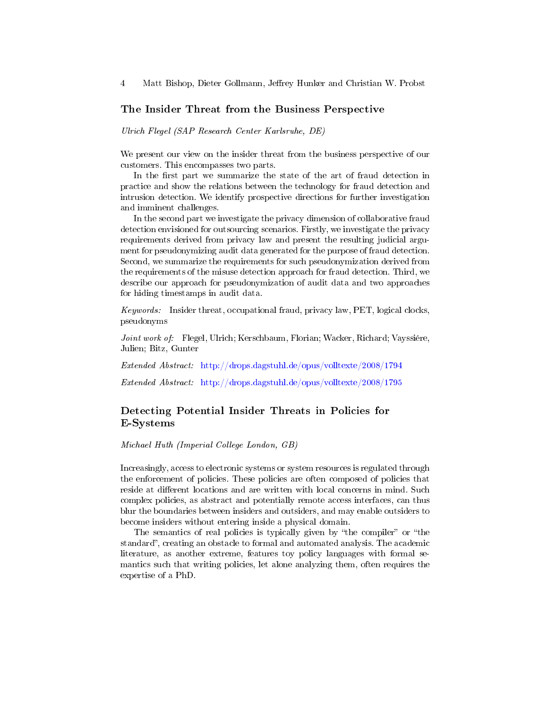## The Insider Threat from the Business Perspective

Ulrich Flegel (SAP Research Center Karlsruhe, DE)

We present our view on the insider threat from the business perspective of our customers. This encompasses two parts.

In the first part we summarize the state of the art of fraud detection in practice and show the relations between the technology for fraud detection and intrusion detection. We identify prospective directions for further investigation and imminent challenges.

In the second part we investigate the privacy dimension of collaborative fraud detection envisioned for outsourcing scenarios. Firstly, we investigate the privacy requirements derived from privacy law and present the resulting judicial argument for pseudonymizing audit data generated for the purpose of fraud detection. Second, we summarize the requirements for such pseudonymization derived from the requirements of the misuse detection approach for fraud detection. Third, we describe our approach for pseudonymization of audit data and two approaches for hiding timestamps in audit data.

Keywords: Insider threat, occupational fraud, privacy law, PET, logical clocks, pseudonyms

Joint work of: Flegel, Ulrich; Kerschbaum, Florian; Wacker, Richard; Vayssiére, Julien; Bitz, Gunter

Extended Abstract: <http://drops.dagstuhl.de/opus/volltexte/2008/1794>

Extended Abstract: <http://drops.dagstuhl.de/opus/volltexte/2008/1795>

# Detecting Potential Insider Threats in Policies for E-Systems

Michael Huth (Imperial College London, GB)

Increasingly, access to electronic systems or system resources is regulated through the enforcement of policies. These policies are often composed of policies that reside at different locations and are written with local concerns in mind. Such complex policies, as abstract and potentially remote access interfaces, can thus blur the boundaries between insiders and outsiders, and may enable outsiders to become insiders without entering inside a physical domain.

The semantics of real policies is typically given by "the compiler" or "the standard", creating an obstacle to formal and automated analysis. The academic literature, as another extreme, features toy policy languages with formal semantics such that writing policies, let alone analyzing them, often requires the expertise of a PhD.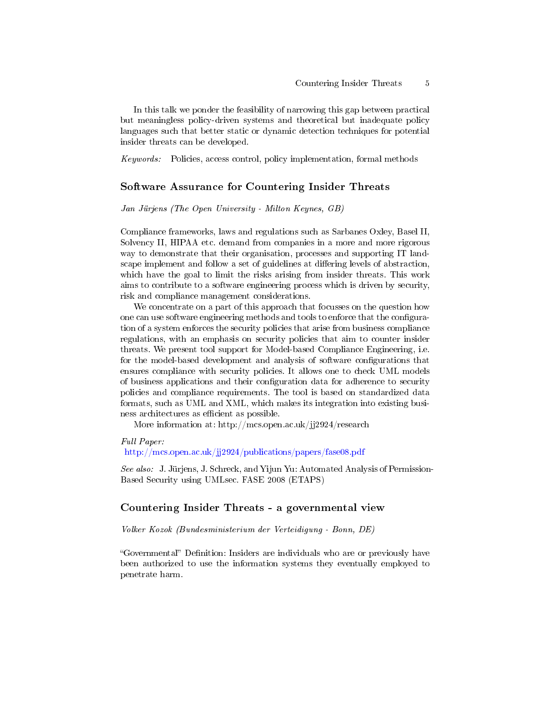In this talk we ponder the feasibility of narrowing this gap between practical but meaningless policy-driven systems and theoretical but inadequate policy languages such that better static or dynamic detection techniques for potential insider threats can be developed.

Keywords: Policies, access control, policy implementation, formal methods

## Software Assurance for Countering Insider Threats

Jan Jürjens (The Open University - Milton Keynes, GB)

Compliance frameworks, laws and regulations such as Sarbanes Oxley, Basel II, Solvency II, HIPAA etc. demand from companies in a more and more rigorous way to demonstrate that their organisation, processes and supporting IT landscape implement and follow a set of guidelines at differing levels of abstraction, which have the goal to limit the risks arising from insider threats. This work aims to contribute to a software engineering process which is driven by security, risk and compliance management considerations.

We concentrate on a part of this approach that focusses on the question how one can use software engineering methods and tools to enforce that the configuration of a system enforces the security policies that arise from business compliance regulations, with an emphasis on security policies that aim to counter insider threats. We present tool support for Model-based Compliance Engineering, i.e. for the model-based development and analysis of software configurations that ensures compliance with security policies. It allows one to check UML models of business applications and their configuration data for adherence to security policies and compliance requirements. The tool is based on standardized data formats, such as UML and XML, which makes its integration into existing business architectures as efficient as possible.

More information at: http://mcs.open.ac.uk/jj2924/research

Full Paper: <http://mcs.open.ac.uk/jj2924/publications/papers/fase08.pdf>

See also: J. Jürjens, J. Schreck, and Yijun Yu: Automated Analysis of Permission-Based Security using UMLsec. FASE 2008 (ETAPS)

#### Countering Insider Threats - a governmental view

Volker Kozok (Bundesministerium der Verteidigung - Bonn, DE)

"Governmental" Definition: Insiders are individuals who are or previously have been authorized to use the information systems they eventually employed to penetrate harm.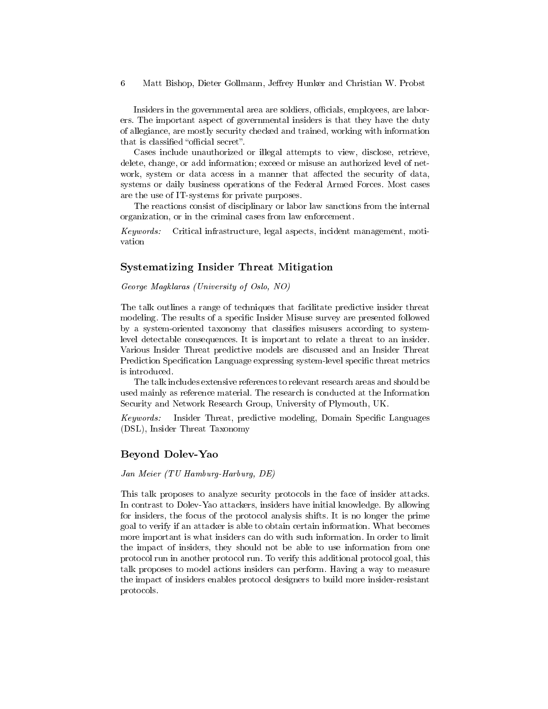Insiders in the governmental area are soldiers, officials, employees, are laborers. The important aspect of governmental insiders is that they have the duty of allegiance, are mostly security checked and trained, working with information that is classified "official secret".

Cases include unauthorized or illegal attempts to view, disclose, retrieve, delete, change, or add information; exceed or misuse an authorized level of network, system or data access in a manner that affected the security of data, systems or daily business operations of the Federal Armed Forces. Most cases are the use of IT-systems for private purposes.

The reactions consist of disciplinary or labor law sanctions from the internal organization, or in the criminal cases from law enforcement.

Keywords: Critical infrastructure, legal aspects, incident management, motivation

## Systematizing Insider Threat Mitigation

George Magklaras (University of Oslo, NO)

The talk outlines a range of techniques that facilitate predictive insider threat modeling. The results of a specific Insider Misuse survey are presented followed by a system-oriented taxonomy that classies misusers according to systemlevel detectable consequences. It is important to relate a threat to an insider. Various Insider Threat predictive models are discussed and an Insider Threat Prediction Specification Language expressing system-level specific threat metrics is introduced.

The talk includes extensive references to relevant research areas and should be used mainly as reference material. The research is conducted at the Information Security and Network Research Group, University of Plymouth, UK.

Keywords: Insider Threat, predictive modeling, Domain Specific Languages (DSL), Insider Threat Taxonomy

#### Beyond Dolev-Yao

Jan Meier (TU Hamburg-Harburg, DE)

This talk proposes to analyze security protocols in the face of insider attacks. In contrast to Dolev-Yao attackers, insiders have initial knowledge. By allowing for insiders, the focus of the protocol analysis shifts. It is no longer the prime goal to verify if an attacker is able to obtain certain information. What becomes more important is what insiders can do with such information. In order to limit the impact of insiders, they should not be able to use information from one protocol run in another protocol run. To verify this additional protocol goal, this talk proposes to model actions insiders can perform. Having a way to measure the impact of insiders enables protocol designers to build more insider-resistant protocols.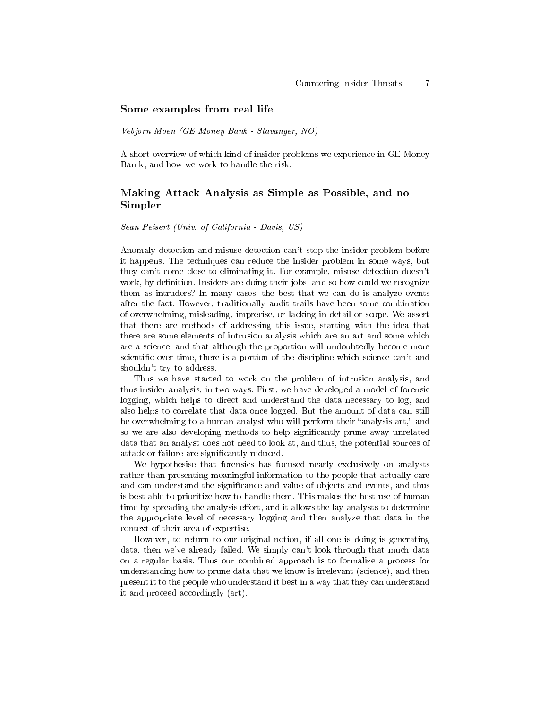#### Some examples from real life

Vebjorn Moen (GE Money Bank - Stavanger, NO)

A short overview of which kind of insider problems we experience in GE Money Ban k, and how we work to handle the risk.

## Making Attack Analysis as Simple as Possible, and no Simpler

Sean Peisert (Univ. of California - Davis, US)

Anomaly detection and misuse detection can't stop the insider problem before it happens. The techniques can reduce the insider problem in some ways, but they can't come close to eliminating it. For example, misuse detection doesn't work, by definition. Insiders are doing their jobs, and so how could we recognize them as intruders? In many cases, the best that we can do is analyze events after the fact. However, traditionally audit trails have been some combination of overwhelming, misleading, imprecise, or lacking in detail or scope. We assert that there are methods of addressing this issue, starting with the idea that there are some elements of intrusion analysis which are an art and some which are a science, and that although the proportion will undoubtedly become more scientific over time, there is a portion of the discipline which science can't and shouldn't try to address.

Thus we have started to work on the problem of intrusion analysis, and thus insider analysis, in two ways. First, we have developed a model of forensic logging, which helps to direct and understand the data necessary to log, and also helps to correlate that data once logged. But the amount of data can still be overwhelming to a human analyst who will perform their "analysis art," and so we are also developing methods to help signicantly prune away unrelated data that an analyst does not need to look at, and thus, the potential sources of attack or failure are signicantly reduced.

We hypothesise that forensics has focused nearly exclusively on analysts rather than presenting meaningful information to the people that actually care and can understand the significance and value of objects and events, and thus is best able to prioritize how to handle them. This makes the best use of human time by spreading the analysis effort, and it allows the lay-analysts to determine the appropriate level of necessary logging and then analyze that data in the context of their area of expertise.

However, to return to our original notion, if all one is doing is generating data, then we've already failed. We simply can't look through that much data on a regular basis. Thus our combined approach is to formalize a process for understanding how to prune data that we know is irrelevant (science), and then present it to the people who understand it best in a way that they can understand it and proceed accordingly (art).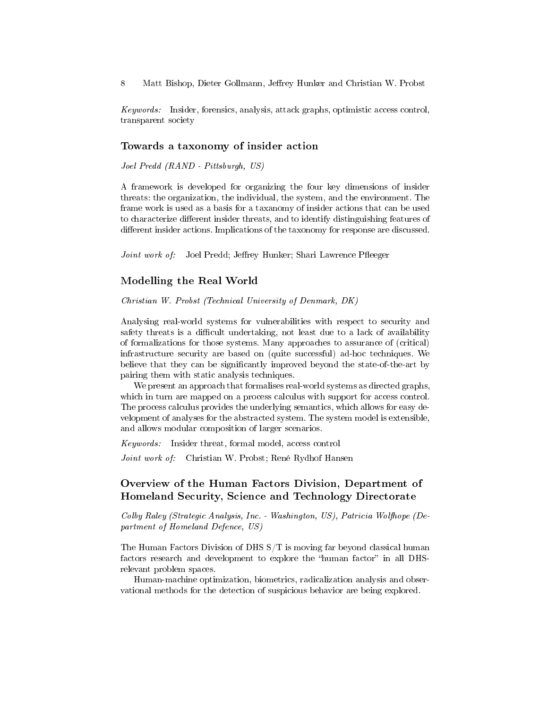Keywords: Insider, forensics, analysis, attack graphs, optimistic access control, transparent society

#### Towards a taxonomy of insider action

Joel Predd (RAND - Pittsburgh, US)

A framework is developed for organizing the four key dimensions of insider threats: the organization, the individual, the system, and the environment. The frame work is used as a basis for a taxanomy of insider actions that can be used to characterize different insider threats, and to identify distinguishing features of different insider actions. Implications of the taxonomy for response are discussed.

Joint work of: Joel Predd; Jeffrey Hunker; Shari Lawrence Pfleeger

## Modelling the Real World

Christian W. Probst (Technical University of Denmark, DK)

Analysing real-world systems for vulnerabilities with respect to security and safety threats is a difficult undertaking, not least due to a lack of availability of formalizations for those systems. Many approaches to assurance of (critical) infrastructure security are based on (quite successful) ad-hoc techniques. We believe that they can be signicantly improved beyond the state-of-the-art by pairing them with static analysis techniques.

We present an approach that formalises real-world systems as directed graphs, which in turn are mapped on a process calculus with support for access control. The process calculus provides the underlying semantics, which allows for easy development of analyses for the abstracted system. The system model is extensible, and allows modular composition of larger scenarios.

Keywords: Insider threat, formal model, access control

Joint work of: Christian W. Probst; René Rydhof Hansen

## Overview of the Human Factors Division, Department of Homeland Security, Science and Technology Directorate

Colby Raley (Strategic Analysis, Inc. - Washington, US), Patricia Wolfhope (Department of Homeland Defence, US)

The Human Factors Division of DHS S/T is moving far beyond classical human factors research and development to explore the "human factor" in all DHSrelevant problem spaces.

Human-machine optimization, biometrics, radicalization analysis and observational methods for the detection of suspicious behavior are being explored.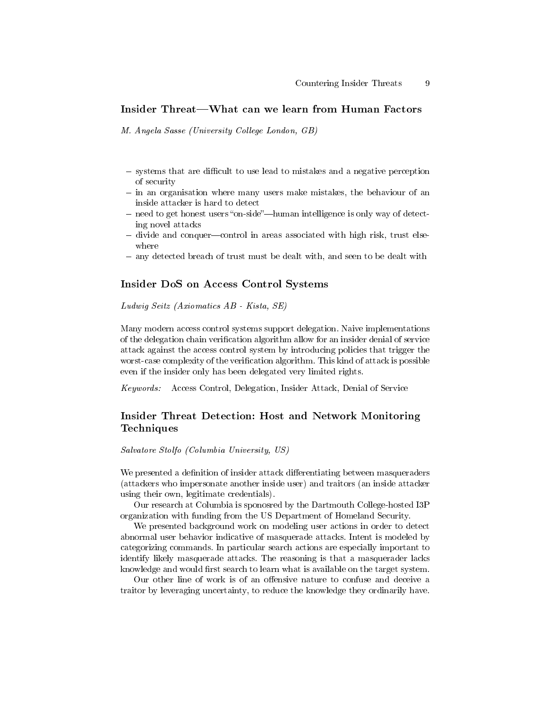# Insider Threat—What can we learn from Human Factors

M. Angela Sasse (University College London, GB)

- systems that are difficult to use lead to mistakes and a negative perception of security
- in an organisation where many users make mistakes, the behaviour of an inside attacker is hard to detect
- $n -$  need to get honest users "on-side"—human intelligence is only way of detecting novel attacks
- divide and conquer-control in areas associated with high risk, trust elsewhere
- any detected breach of trust must be dealt with, and seen to be dealt with

## Insider DoS on Access Control Systems

Ludwig Seitz (Axiomatics AB - Kista, SE)

Many modern access control systems support delegation. Naive implementations of the delegation chain verification algorithm allow for an insider denial of service attack against the access control system by introducing policies that trigger the worst-case complexity of the verification algorithm. This kind of attack is possible even if the insider only has been delegated very limited rights.

Keywords: Access Control, Delegation, Insider Attack, Denial of Service

# Insider Threat Detection: Host and Network Monitoring Techniques

Salvatore Stolfo (Columbia University, US)

We presented a definition of insider attack differentiating between masqueraders (attackers who impersonate another inside user) and traitors (an inside attacker using their own, legitimate credentials).

Our research at Columbia is sponosred by the Dartmouth College-hosted I3P organization with funding from the US Department of Homeland Security.

We presented background work on modeling user actions in order to detect abnormal user behavior indicative of masquerade attacks. Intent is modeled by categorizing commands. In particular search actions are especially important to identify likely masquerade attacks. The reasoning is that a masquerader lacks knowledge and would first search to learn what is available on the target system.

Our other line of work is of an offensive nature to confuse and deceive a traitor by leveraging uncertainty, to reduce the knowledge they ordinarily have.